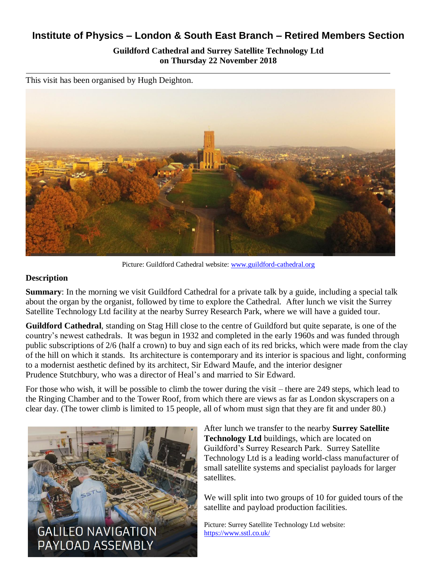# **Institute of Physics – London & South East Branch – Retired Members Section**

#### **Guildford Cathedral and Surrey Satellite Technology Ltd on Thursday 22 November 2018**

This visit has been organised by Hugh Deighton.



Picture: Guildford Cathedral website: [www.guildford-cathedral.org](http://www.guildford-cathedral.org/)

#### **Description**

**Summary**: In the morning we visit Guildford Cathedral for a private talk by a guide, including a special talk about the organ by the organist, followed by time to explore the Cathedral. After lunch we visit the Surrey Satellite Technology Ltd facility at the nearby Surrey Research Park, where we will have a guided tour.

**Guildford Cathedral**, standing on Stag Hill close to the centre of Guildford but quite separate, is one of the country's newest cathedrals. It was begun in 1932 and completed in the early 1960s and was funded through public subscriptions of 2/6 (half a crown) to buy and sign each of its red bricks, which were made from the clay of the hill on which it stands. Its architecture is contemporary and its interior is spacious and light, conforming to a modernist aesthetic defined by its architect, Sir Edward Maufe, and the interior designer Prudence Stutchbury, who was a director of Heal's and married to Sir Edward.

For those who wish, it will be possible to climb the tower during the visit – there are 249 steps, which lead to the Ringing Chamber and to the Tower Roof, from which there are views as far as London skyscrapers on a clear day. (The tower climb is limited to 15 people, all of whom must sign that they are fit and under 80.)



After lunch we transfer to the nearby **Surrey Satellite Technology Ltd** buildings, which are located on Guildford's Surrey Research Park. Surrey Satellite Technology Ltd is a leading world-class manufacturer of small satellite systems and specialist payloads for larger satellites.

We will split into two groups of 10 for guided tours of the satellite and payload production facilities.

Picture: Surrey Satellite Technology Ltd website: <https://www.sstl.co.uk/>